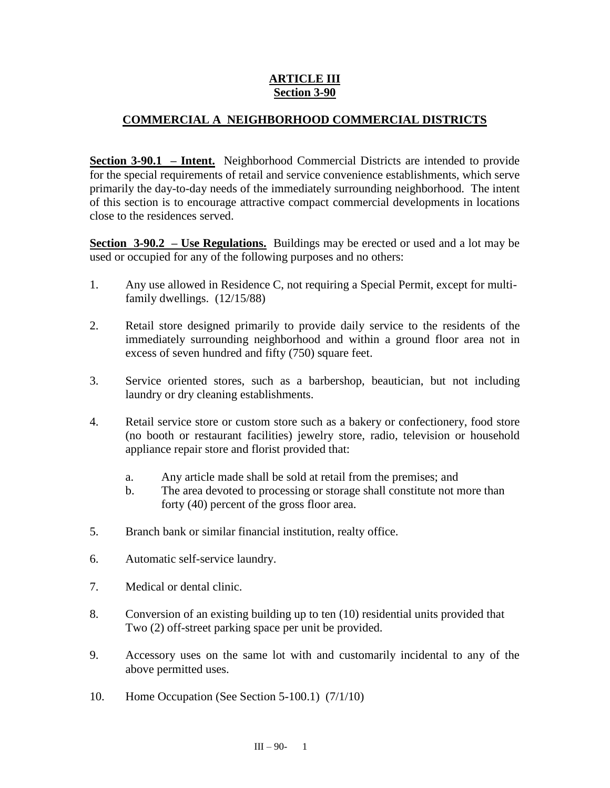## **ARTICLE III Section 3-90**

## **COMMERCIAL A NEIGHBORHOOD COMMERCIAL DISTRICTS**

**Section 3-90.1 – Intent.** Neighborhood Commercial Districts are intended to provide for the special requirements of retail and service convenience establishments, which serve primarily the day-to-day needs of the immediately surrounding neighborhood. The intent of this section is to encourage attractive compact commercial developments in locations close to the residences served.

**Section 3-90.2 – Use Regulations.** Buildings may be erected or used and a lot may be used or occupied for any of the following purposes and no others:

- 1. Any use allowed in Residence C, not requiring a Special Permit, except for multifamily dwellings. (12/15/88)
- 2. Retail store designed primarily to provide daily service to the residents of the immediately surrounding neighborhood and within a ground floor area not in excess of seven hundred and fifty (750) square feet.
- 3. Service oriented stores, such as a barbershop, beautician, but not including laundry or dry cleaning establishments.
- 4. Retail service store or custom store such as a bakery or confectionery, food store (no booth or restaurant facilities) jewelry store, radio, television or household appliance repair store and florist provided that:
	- a. Any article made shall be sold at retail from the premises; and
	- b. The area devoted to processing or storage shall constitute not more than forty (40) percent of the gross floor area.
- 5. Branch bank or similar financial institution, realty office.
- 6. Automatic self-service laundry.
- 7. Medical or dental clinic.
- 8. Conversion of an existing building up to ten (10) residential units provided that Two (2) off-street parking space per unit be provided.
- 9. Accessory uses on the same lot with and customarily incidental to any of the above permitted uses.
- 10. Home Occupation (See Section 5-100.1) (7/1/10)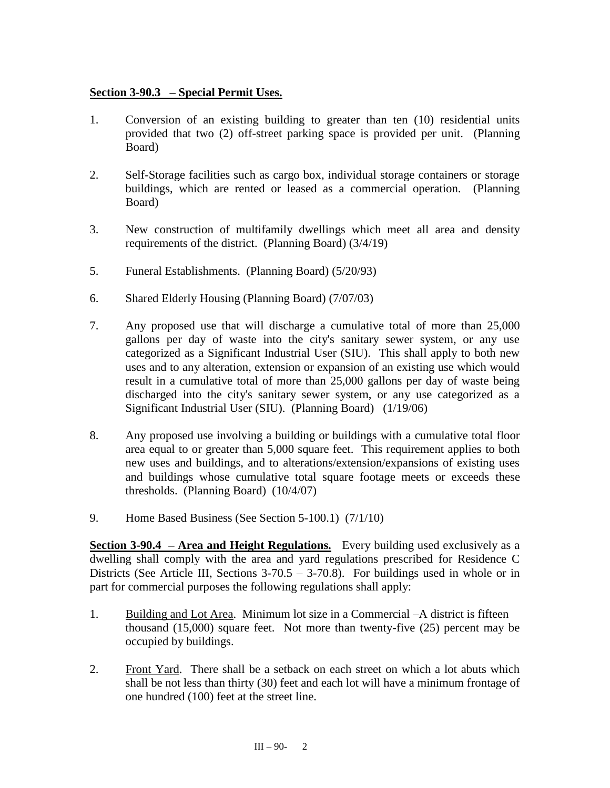## **Section 3-90.3 – Special Permit Uses.**

- 1. Conversion of an existing building to greater than ten (10) residential units provided that two (2) off-street parking space is provided per unit. (Planning Board)
- 2. Self-Storage facilities such as cargo box, individual storage containers or storage buildings, which are rented or leased as a commercial operation. (Planning Board)
- 3. New construction of multifamily dwellings which meet all area and density requirements of the district. (Planning Board) (3/4/19)
- 5. Funeral Establishments. (Planning Board) (5/20/93)
- 6. Shared Elderly Housing (Planning Board) (7/07/03)
- 7. Any proposed use that will discharge a cumulative total of more than 25,000 gallons per day of waste into the city's sanitary sewer system, or any use categorized as a Significant Industrial User (SIU). This shall apply to both new uses and to any alteration, extension or expansion of an existing use which would result in a cumulative total of more than 25,000 gallons per day of waste being discharged into the city's sanitary sewer system, or any use categorized as a Significant Industrial User (SIU). (Planning Board) (1/19/06)
- 8. Any proposed use involving a building or buildings with a cumulative total floor area equal to or greater than 5,000 square feet. This requirement applies to both new uses and buildings, and to alterations/extension/expansions of existing uses and buildings whose cumulative total square footage meets or exceeds these thresholds. (Planning Board) (10/4/07)
- 9. Home Based Business (See Section 5-100.1) (7/1/10)

**Section 3-90.4 – Area and Height Regulations.** Every building used exclusively as a dwelling shall comply with the area and yard regulations prescribed for Residence C Districts (See Article III, Sections  $3-70.5 - 3-70.8$ ). For buildings used in whole or in part for commercial purposes the following regulations shall apply:

- 1. Building and Lot Area. Minimum lot size in a Commercial –A district is fifteen thousand (15,000) square feet. Not more than twenty-five (25) percent may be occupied by buildings.
- 2. Front Yard. There shall be a setback on each street on which a lot abuts which shall be not less than thirty (30) feet and each lot will have a minimum frontage of one hundred (100) feet at the street line.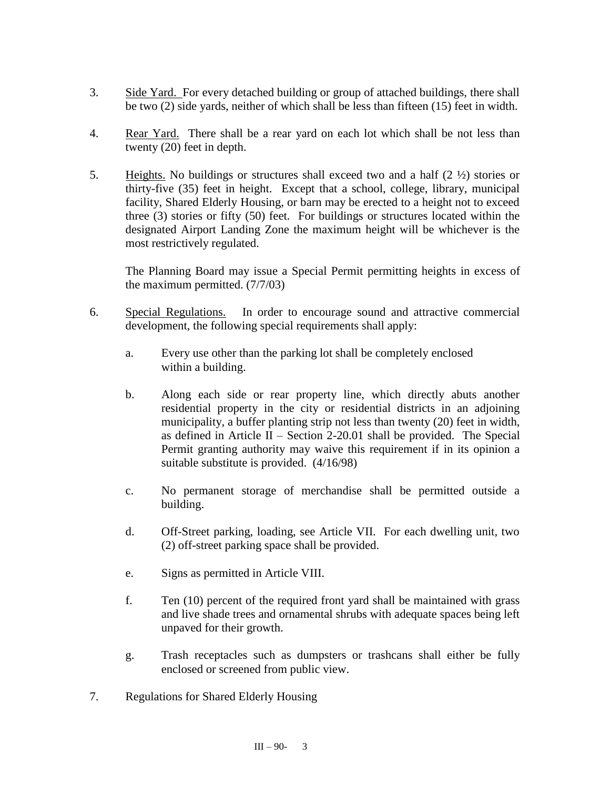- 3. Side Yard. For every detached building or group of attached buildings, there shall be two (2) side yards, neither of which shall be less than fifteen (15) feet in width.
- 4. Rear Yard. There shall be a rear yard on each lot which shall be not less than twenty (20) feet in depth.
- 5. Heights. No buildings or structures shall exceed two and a half  $(2 \frac{1}{2})$  stories or thirty-five (35) feet in height. Except that a school, college, library, municipal facility, Shared Elderly Housing, or barn may be erected to a height not to exceed three (3) stories or fifty (50) feet. For buildings or structures located within the designated Airport Landing Zone the maximum height will be whichever is the most restrictively regulated.

The Planning Board may issue a Special Permit permitting heights in excess of the maximum permitted. (7/7/03)

- 6. Special Regulations. In order to encourage sound and attractive commercial development, the following special requirements shall apply:
	- a. Every use other than the parking lot shall be completely enclosed within a building.
	- b. Along each side or rear property line, which directly abuts another residential property in the city or residential districts in an adjoining municipality, a buffer planting strip not less than twenty (20) feet in width, as defined in Article II – Section 2-20.01 shall be provided. The Special Permit granting authority may waive this requirement if in its opinion a suitable substitute is provided. (4/16/98)
	- c. No permanent storage of merchandise shall be permitted outside a building.
	- d. Off-Street parking, loading, see Article VII. For each dwelling unit, two (2) off-street parking space shall be provided.
	- e. Signs as permitted in Article VIII.
	- f. Ten (10) percent of the required front yard shall be maintained with grass and live shade trees and ornamental shrubs with adequate spaces being left unpaved for their growth.
	- g. Trash receptacles such as dumpsters or trashcans shall either be fully enclosed or screened from public view.
- 7. Regulations for Shared Elderly Housing